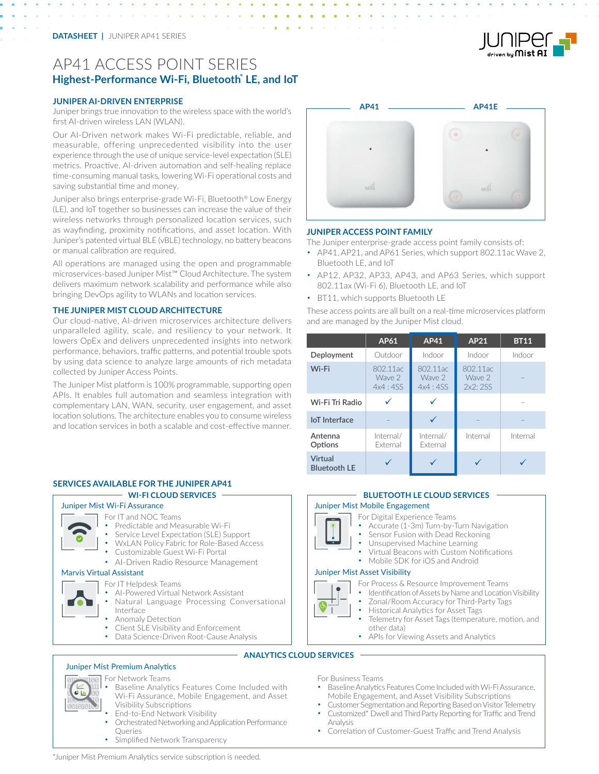# AP41 ACCESS POINT SERIES **Highest-Performance Wi-Fi, Bluetooth® LE, and IoT**

#### **JUNIPER AI-DRIVEN ENTERPRISE**

Juniper brings true innovation to the wireless space with the world's first AI-driven wireless LAN (WLAN).

Our AI-Driven network makes Wi-Fi predictable, reliable, and measurable, offering unprecedented visibility into the user experience through the use of unique service-level expectation (SLE) metrics. Proactive, AI-driven automation and self-healing replace time-consuming manual tasks, lowering Wi-Fi operational costs and saving substantial time and money.

Juniper also brings enterprise-grade Wi-Fi, Bluetooth® Low Energy (LE), and IoT together so businesses can increase the value of their wireless networks through personalized location services, such as wayfinding, proximity notifications, and asset location. With Juniper's patented virtual BLE (vBLE) technology, no battery beacons or manual calibration are required.

All operations are managed using the open and programmable microservices-based Juniper Mist™ Cloud Architecture. The system delivers maximum network scalability and performance while also bringing DevOps agility to WLANs and location services.

#### **THE JUNIPER MIST CLOUD ARCHITECTURE**

Our cloud-native, AI-driven microservices architecture delivers unparalleled agility, scale, and resiliency to your network. It lowers OpEx and delivers unprecedented insights into network performance, behaviors, traffic patterns, and potential trouble spots by using data science to analyze large amounts of rich metadata collected by Juniper Access Points.

The Juniper Mist platform is 100% programmable, supporting open APIs. It enables full automation and seamless integration with complementary LAN, WAN, security, user engagement, and asset location solutions. The architecture enables you to consume wireless and location services in both a scalable and cost-effective manner.

## **SERVICES AVAILABLE FOR THE JUNIPER AP41**



For Network Teams

- Baseline Analytics Features Come Included with Wi-Fi Assurance, Mobile Engagement, and Asset Visibility Subscriptions
- End-to-End Network Visibility
- Orchestrated Networking and Application Performance Queries
- Simplified Network Transparency

**AP41 AP41E**

#### **JUNIPER ACCESS POINT FAMILY**

The Juniper enterprise-grade access point family consists of:

- AP41, AP21, and AP61 Series, which support 802.11ac Wave 2, Bluetooth LE, and IoT
- AP12, AP32, AP33, AP43, and AP63 Series, which support 802.11ax (Wi-Fi 6), Bluetooth LE, and IoT
- BT11, which supports Bluetooth LE

These access points are all built on a real-time microservices platform and are managed by the Juniper Mist cloud.

|                                | AP61                          | AP41                          | AP21                          | <b>BT11</b> |
|--------------------------------|-------------------------------|-------------------------------|-------------------------------|-------------|
| Deployment                     | Outdoor                       | Indoor                        | Indoor                        | Indoor      |
| Wi-Fi                          | 802.11ac<br>Wave 2<br>4x4:4SS | 802.11ac<br>Wave 2<br>4x4:4SS | 802.11ac<br>Wave 2<br>2x2:2SS |             |
| Wi-Fi Tri Radio                |                               |                               |                               |             |
| loT Interface                  |                               |                               |                               |             |
| Antenna<br>Options             | Internal/<br>External         | Internal/<br><b>External</b>  | Internal                      | Internal    |
| Virtual<br><b>Bluetooth LE</b> |                               |                               |                               |             |

For Digital Experience Teams

- Accurate (1-3m) Turn-by-Turn Navigation
	- Sensor Fusion with Dead Reckoning
	- Unsupervised Machine Learning
	- Virtual Beacons with Custom Notifications
	- Mobile SDK for iOS and Android

#### Juniper Mist Asset Visibility

For Process & Resource Improvement Teams

- Identification of Assets by Name and Location Visibility
	- Zonal/Room Accuracy for Third-Party Tags
	- Historical Analytics for Asset Tags
	- Telemetry for Asset Tags (temperature, motion, and other data)
	- APIs for Viewing Assets and Analytics

## **ANALYTICS CLOUD SERVICES**

For Business Teams

- Baseline Analytics Features Come Included with Wi-Fi Assurance, Mobile Engagement, and Asset Visibility Subscriptions
- Customer Segmentation and Reporting Based on Visitor Telemetry
- Customized\* Dwell and ThirdParty Reporting for Traffic and Trend Analysis
- Correlation of Customer-Guest Traffic and Trend Analysis

\*Juniper Mist Premium Analytics service subscription is needed.



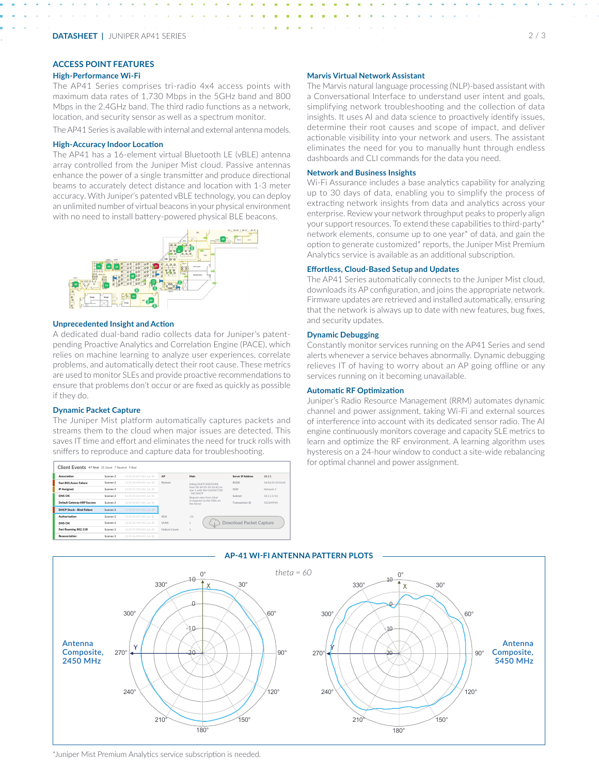## **ACCESS POINT FEATURES**

#### **High-Performance Wi-Fi**

The AP41 Series comprises tri-radio 4x4 access points with maximum data rates of 1,730 Mbps in the 5GHz band and 800 Mbps in the 2.4GHz band. The third radio functions as a network, location, and security sensor as well as a spectrum monitor.

The AP41 Series is available with internal and external antenna models.

#### **High-Accuracy Indoor Location**

The AP41 has a 16-element virtual Bluetooth LE (vBLE) antenna array controlled from the Juniper Mist cloud. Passive antennas enhance the power of a single transmitter and produce directional beams to accurately detect distance and location with 1-3 meter accuracy. With Juniper's patented vBLE technology, you can deploy an unlimited number of virtual beacons in your physical environment with no need to install battery-powered physical BLE beacons.



#### **Unprecedented Insight and Action**

A dedicated dual-band radio collects data for Juniper's patentpending Proactive Analytics and Correlation Engine (PACE), which relies on machine learning to analyze user experiences, correlate problems, and automatically detect their root cause. These metrics are used to monitor SLEs and provide proactive recommendations to ensure that problems don't occur or are fixed as quickly as possible if they do.

#### **Dynamic Packet Capture**

The Juniper Mist platform automatically captures packets and streams them to the cloud when major issues are detected. This saves IT time and effort and eliminates the need for truck rolls with sniffers to reproduce and capture data for troubleshooting.





The Marvis natural language processing (NLP)-based assistant with a Conversational Interface to understand user intent and goals, simplifying network troubleshooting and the collection of data insights. It uses AI and data science to proactively identify issues, determine their root causes and scope of impact, and deliver actionable visibility into your network and users. The assistant eliminates the need for you to manually hunt through endless dashboards and CLI commands for the data you need.

#### **Network and Business Insights**

Wi-Fi Assurance includes a base analytics capability for analyzing up to 30 days of data, enabling you to simplify the process of extracting network insights from data and analytics across your enterprise. Review your network throughput peaks to properly align your support resources. To extend these capabilities to third-party\* network elements, consume up to one year\* of data, and gain the option to generate customized\* reports, the Juniper Mist Premium Analytics service is available as an additional subscription.

### **Effortless, Cloud-Based Setup and Updates**

The AP41 Series automatically connects to the Juniper Mist cloud, downloads its AP configuration, and joins the appropriate network. Firmware updates are retrieved and installed automatically, ensuring that the network is always up to date with new features, bug fixes, and security updates.

#### **Dynamic Debugging**

Constantly monitor services running on the AP41 Series and send alerts whenever a service behaves abnormally. Dynamic debugging relieves IT of having to worry about an AP going offline or any services running on it becoming unavailable.

#### **Automatic RF Optimization**

Juniper's Radio Resource Management (RRM) automates dynamic channel and power assignment, taking Wi-Fi and external sources of interference into account with its dedicated sensor radio. The AI engine continuously monitors coverage and capacity SLE metrics to learn and optimize the RF environment. A learning algorithm uses hysteresis on a 24-hour window to conduct a site-wide rebalancing for optimal channel and power assignment.



#### **AP-41 WI-FI ANTENNA PATTERN PLOTS**

\*Juniper Mist Premium Analytics service subscription is needed.